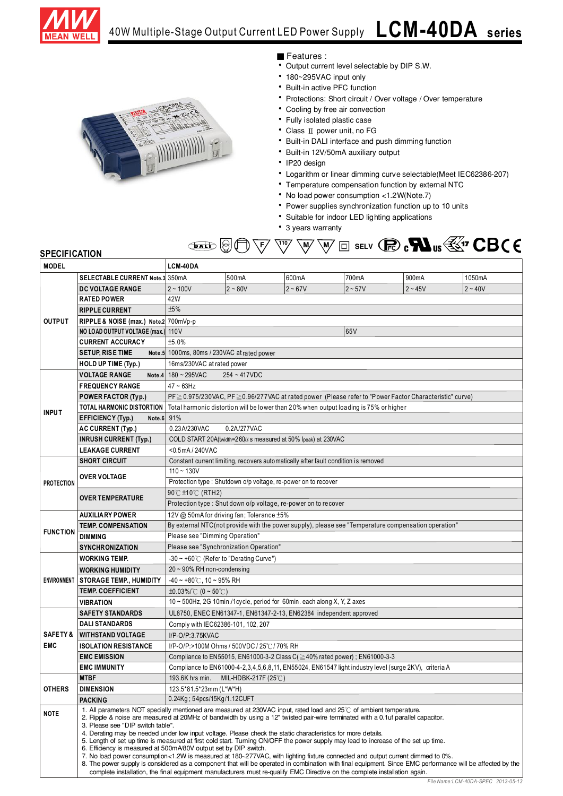

## 40W Multiple-Stage Output Current LED Power Supply **LCM-40DA series**



### Features:

- Output current level selectable by DIP S.W.
- 180~295VAC input only
- Built-in active PFC function
- Protections: Short circuit / Over voltage / Over temperature
- Cooling by free air convection
- Fully isolated plastic case
- Class II power unit, no FG
- Built-in DALI interface and push dimming function
- Built-in 12V/50mA auxiliary output
- IP20 design
- Logarithm or linear dimming curve selectable(Meet IEC62386-207)
- Temperature compensation function by external NTC
- No load power consumption <1.2W(Note.7)
- Power supplies synchronization function up to 10 units
- Suitable for indoor LED lighting applications
- 3 years warranty



### **SPECIFICATION**

| , LVII IVIIIVII<br><b>MODEL</b> |                                                                                                                                                                                                                                                                                                                                                                                                                                                                                                                                                                                                                                                                                                                                                                                                                                                                                                                              | LCM-40DA                                                                                                                                     |           |                                                                                    |           |           |           |  |  |  |
|---------------------------------|------------------------------------------------------------------------------------------------------------------------------------------------------------------------------------------------------------------------------------------------------------------------------------------------------------------------------------------------------------------------------------------------------------------------------------------------------------------------------------------------------------------------------------------------------------------------------------------------------------------------------------------------------------------------------------------------------------------------------------------------------------------------------------------------------------------------------------------------------------------------------------------------------------------------------|----------------------------------------------------------------------------------------------------------------------------------------------|-----------|------------------------------------------------------------------------------------|-----------|-----------|-----------|--|--|--|
|                                 | SELECTABLE CURRENT Note.3 350mA                                                                                                                                                                                                                                                                                                                                                                                                                                                                                                                                                                                                                                                                                                                                                                                                                                                                                              |                                                                                                                                              | 500mA     | 600mA                                                                              | 700mA     | 900mA     | 1050mA    |  |  |  |
| <b>OUTPUT</b>                   | DC VOLTAGE RANGE                                                                                                                                                                                                                                                                                                                                                                                                                                                                                                                                                                                                                                                                                                                                                                                                                                                                                                             | $2 - 100V$                                                                                                                                   | $2 - 80V$ | $2 - 67V$                                                                          | $2 - 57V$ | $2 - 45V$ | $2 - 40V$ |  |  |  |
|                                 | <b>RATED POWER</b>                                                                                                                                                                                                                                                                                                                                                                                                                                                                                                                                                                                                                                                                                                                                                                                                                                                                                                           | 42W                                                                                                                                          |           |                                                                                    |           |           |           |  |  |  |
|                                 | <b>RIPPLE CURRENT</b>                                                                                                                                                                                                                                                                                                                                                                                                                                                                                                                                                                                                                                                                                                                                                                                                                                                                                                        | ±5%                                                                                                                                          |           |                                                                                    |           |           |           |  |  |  |
|                                 | RIPPLE & NOISE (max.) Note 2 700mVp-p                                                                                                                                                                                                                                                                                                                                                                                                                                                                                                                                                                                                                                                                                                                                                                                                                                                                                        |                                                                                                                                              |           |                                                                                    |           |           |           |  |  |  |
|                                 | NO LOAD OUTPUT VOLTAGE (max.) 110V                                                                                                                                                                                                                                                                                                                                                                                                                                                                                                                                                                                                                                                                                                                                                                                                                                                                                           | 65V                                                                                                                                          |           |                                                                                    |           |           |           |  |  |  |
|                                 | <b>CURRENT ACCURACY</b>                                                                                                                                                                                                                                                                                                                                                                                                                                                                                                                                                                                                                                                                                                                                                                                                                                                                                                      | ±5.0%                                                                                                                                        |           |                                                                                    |           |           |           |  |  |  |
|                                 | <b>SETUP, RISE TIME</b>                                                                                                                                                                                                                                                                                                                                                                                                                                                                                                                                                                                                                                                                                                                                                                                                                                                                                                      | Note.5 1000ms, 80ms / 230VAC at rated power                                                                                                  |           |                                                                                    |           |           |           |  |  |  |
|                                 | <b>HOLD UP TIME (Typ.)</b>                                                                                                                                                                                                                                                                                                                                                                                                                                                                                                                                                                                                                                                                                                                                                                                                                                                                                                   | 16ms/230VAC at rated power                                                                                                                   |           |                                                                                    |           |           |           |  |  |  |
|                                 | <b>VOLTAGE RANGE</b>                                                                                                                                                                                                                                                                                                                                                                                                                                                                                                                                                                                                                                                                                                                                                                                                                                                                                                         | Note.4 $180 - 295$ VAC<br>$254 - 417VDC$                                                                                                     |           |                                                                                    |           |           |           |  |  |  |
|                                 | <b>FREQUENCY RANGE</b>                                                                                                                                                                                                                                                                                                                                                                                                                                                                                                                                                                                                                                                                                                                                                                                                                                                                                                       | $47 \sim 63$ Hz                                                                                                                              |           |                                                                                    |           |           |           |  |  |  |
|                                 |                                                                                                                                                                                                                                                                                                                                                                                                                                                                                                                                                                                                                                                                                                                                                                                                                                                                                                                              |                                                                                                                                              |           |                                                                                    |           |           |           |  |  |  |
|                                 | <b>POWER FACTOR (Typ.)</b><br>TOTAL HARMONIC DISTORTION                                                                                                                                                                                                                                                                                                                                                                                                                                                                                                                                                                                                                                                                                                                                                                                                                                                                      | PF ≥ 0.975/230VAC, PF ≥ 0.96/277VAC at rated power (Please refer to "Power Factor Characteristic" curve)                                     |           |                                                                                    |           |           |           |  |  |  |
| <b>INPUT</b>                    | <b>EFFICIENCY (Typ.)</b><br>Note.6                                                                                                                                                                                                                                                                                                                                                                                                                                                                                                                                                                                                                                                                                                                                                                                                                                                                                           | Total harmonic distortion will be lower than 20% when output loading is 75% or higher                                                        |           |                                                                                    |           |           |           |  |  |  |
|                                 | AC CURRENT (Typ.)                                                                                                                                                                                                                                                                                                                                                                                                                                                                                                                                                                                                                                                                                                                                                                                                                                                                                                            | 91%                                                                                                                                          |           |                                                                                    |           |           |           |  |  |  |
|                                 | <b>INRUSH CURRENT (Typ.)</b>                                                                                                                                                                                                                                                                                                                                                                                                                                                                                                                                                                                                                                                                                                                                                                                                                                                                                                 | 0.23A/230VAC<br>0.2A/277VAC<br>COLD START 20A(twidth= $260\mu$ s measured at 50% lpeak) at 230VAC                                            |           |                                                                                    |           |           |           |  |  |  |
|                                 | <b>LEAKAGE CURRENT</b>                                                                                                                                                                                                                                                                                                                                                                                                                                                                                                                                                                                                                                                                                                                                                                                                                                                                                                       | <0.5mA/240VAC                                                                                                                                |           |                                                                                    |           |           |           |  |  |  |
|                                 | <b>SHORT CIRCUIT</b>                                                                                                                                                                                                                                                                                                                                                                                                                                                                                                                                                                                                                                                                                                                                                                                                                                                                                                         |                                                                                                                                              |           | Constant current limiting, recovers automatically after fault condition is removed |           |           |           |  |  |  |
|                                 |                                                                                                                                                                                                                                                                                                                                                                                                                                                                                                                                                                                                                                                                                                                                                                                                                                                                                                                              | $110 - 130V$                                                                                                                                 |           |                                                                                    |           |           |           |  |  |  |
|                                 | OVER VOLTAGE                                                                                                                                                                                                                                                                                                                                                                                                                                                                                                                                                                                                                                                                                                                                                                                                                                                                                                                 |                                                                                                                                              |           |                                                                                    |           |           |           |  |  |  |
| <b>PROTECTION</b>               |                                                                                                                                                                                                                                                                                                                                                                                                                                                                                                                                                                                                                                                                                                                                                                                                                                                                                                                              | Protection type : Shutdown o/p voltage, re-power on to recover                                                                               |           |                                                                                    |           |           |           |  |  |  |
|                                 | <b>OVER TEMPERATURE</b>                                                                                                                                                                                                                                                                                                                                                                                                                                                                                                                                                                                                                                                                                                                                                                                                                                                                                                      | 90℃±10℃ (RTH2)                                                                                                                               |           |                                                                                    |           |           |           |  |  |  |
|                                 | <b>AUXILIARY POWER</b>                                                                                                                                                                                                                                                                                                                                                                                                                                                                                                                                                                                                                                                                                                                                                                                                                                                                                                       | Protection type : Shut down o/p voltage, re-power on to recover<br>12V @ 50mA for driving fan; Tolerance ±5%                                 |           |                                                                                    |           |           |           |  |  |  |
|                                 | <b>TEMP. COMPENSATION</b>                                                                                                                                                                                                                                                                                                                                                                                                                                                                                                                                                                                                                                                                                                                                                                                                                                                                                                    | By external NTC (not provide with the power supply), please see "Temperature compensation operation"                                         |           |                                                                                    |           |           |           |  |  |  |
| <b>FUNCTION</b>                 | <b>DIMMING</b>                                                                                                                                                                                                                                                                                                                                                                                                                                                                                                                                                                                                                                                                                                                                                                                                                                                                                                               | Please see "Dimming Operation"                                                                                                               |           |                                                                                    |           |           |           |  |  |  |
|                                 | <b>SYNCHRONIZATION</b>                                                                                                                                                                                                                                                                                                                                                                                                                                                                                                                                                                                                                                                                                                                                                                                                                                                                                                       | Please see "Synchronization Operation"                                                                                                       |           |                                                                                    |           |           |           |  |  |  |
|                                 | <b>WORKING TEMP.</b>                                                                                                                                                                                                                                                                                                                                                                                                                                                                                                                                                                                                                                                                                                                                                                                                                                                                                                         |                                                                                                                                              |           |                                                                                    |           |           |           |  |  |  |
|                                 |                                                                                                                                                                                                                                                                                                                                                                                                                                                                                                                                                                                                                                                                                                                                                                                                                                                                                                                              | -30 ~ +60°C (Refer to "Derating Curve")<br>20~90% RH non-condensing                                                                          |           |                                                                                    |           |           |           |  |  |  |
| ENVIRONMENT                     | <b>WORKING HUMIDITY</b>                                                                                                                                                                                                                                                                                                                                                                                                                                                                                                                                                                                                                                                                                                                                                                                                                                                                                                      |                                                                                                                                              |           |                                                                                    |           |           |           |  |  |  |
|                                 | <b>STORAGE TEMP., HUMIDITY</b><br><b>TEMP. COEFFICIENT</b>                                                                                                                                                                                                                                                                                                                                                                                                                                                                                                                                                                                                                                                                                                                                                                                                                                                                   | $-40 \sim +80^{\circ}$ C, 10 ~ 95% RH                                                                                                        |           |                                                                                    |           |           |           |  |  |  |
|                                 | <b>VIBRATION</b>                                                                                                                                                                                                                                                                                                                                                                                                                                                                                                                                                                                                                                                                                                                                                                                                                                                                                                             | $\pm 0.03\%$ (0 ~ 50°C)<br>10 ~ 500Hz, 2G 10min./1cycle, period for 60min. each along X, Y, Z axes                                           |           |                                                                                    |           |           |           |  |  |  |
|                                 | <b>SAFETY STANDARDS</b>                                                                                                                                                                                                                                                                                                                                                                                                                                                                                                                                                                                                                                                                                                                                                                                                                                                                                                      | UL8750, ENEC EN61347-1, EN61347-2-13, EN62384 independent approved                                                                           |           |                                                                                    |           |           |           |  |  |  |
|                                 | <b>DALI STANDARDS</b>                                                                                                                                                                                                                                                                                                                                                                                                                                                                                                                                                                                                                                                                                                                                                                                                                                                                                                        |                                                                                                                                              |           |                                                                                    |           |           |           |  |  |  |
| <b>SAFETY&amp;</b>              | <b>WITHSTAND VOLTAGE</b>                                                                                                                                                                                                                                                                                                                                                                                                                                                                                                                                                                                                                                                                                                                                                                                                                                                                                                     | Comply with IEC62386-101, 102, 207                                                                                                           |           |                                                                                    |           |           |           |  |  |  |
| <b>EMC</b>                      | <b>ISOLATION RESISTANCE</b>                                                                                                                                                                                                                                                                                                                                                                                                                                                                                                                                                                                                                                                                                                                                                                                                                                                                                                  | I/P-O/P:3.75KVAC                                                                                                                             |           |                                                                                    |           |           |           |  |  |  |
|                                 | <b>EMC EMISSION</b>                                                                                                                                                                                                                                                                                                                                                                                                                                                                                                                                                                                                                                                                                                                                                                                                                                                                                                          | I/P-O/P:>100M Ohms / 500VDC / 25℃ / 70% RH                                                                                                   |           |                                                                                    |           |           |           |  |  |  |
|                                 | <b>EMC IMMUNITY</b>                                                                                                                                                                                                                                                                                                                                                                                                                                                                                                                                                                                                                                                                                                                                                                                                                                                                                                          | Compliance to EN55015, EN61000-3-2 Class C(≥40% rated power); EN61000-3-3                                                                    |           |                                                                                    |           |           |           |  |  |  |
|                                 | MTBF                                                                                                                                                                                                                                                                                                                                                                                                                                                                                                                                                                                                                                                                                                                                                                                                                                                                                                                         | Compliance to EN61000-4-2,3,4,5,6,8,11, EN55024, EN61547 light industry level (surge 2KV), criteria A<br>193.6K hrs min. MIL-HDBK-217F (25℃) |           |                                                                                    |           |           |           |  |  |  |
| <b>OTHERS</b>                   | <b>DIMENSION</b>                                                                                                                                                                                                                                                                                                                                                                                                                                                                                                                                                                                                                                                                                                                                                                                                                                                                                                             | 123.5*81.5*23mm (L*W*H)                                                                                                                      |           |                                                                                    |           |           |           |  |  |  |
|                                 | <b>PACKING</b>                                                                                                                                                                                                                                                                                                                                                                                                                                                                                                                                                                                                                                                                                                                                                                                                                                                                                                               | 0.24Kg; 54pcs/15Kg/1.12CUFT                                                                                                                  |           |                                                                                    |           |           |           |  |  |  |
| <b>NOTE</b>                     | 1. All parameters NOT specially mentioned are measured at 230VAC input, rated load and $25^{\circ}$ of ambient temperature.<br>2. Ripple & noise are measured at 20MHz of bandwidth by using a 12" twisted pair-wire terminated with a 0.1uf parallel capacitor.<br>3. Please see "DIP switch table".<br>4. Derating may be needed under low input voltage. Please check the static characteristics for more details.<br>5. Length of set up time is measured at first cold start. Turning ON/OFF the power supply may lead to increase of the set up time.<br>6. Efficiency is measured at 500mA/80V output set by DIP switch.<br>7. No bad power consumption<1.2W is measured at 180~277VAC, with lighting fixture connected and output current dimmed to 0%.<br>8. The power supply is considered as a component that will be operated in combination with final equipment. Since EMC performance will be affected by the |                                                                                                                                              |           |                                                                                    |           |           |           |  |  |  |
|                                 | complete installation, the final equipment manufacturers must re-qualify EMC Directive on the complete installation again.                                                                                                                                                                                                                                                                                                                                                                                                                                                                                                                                                                                                                                                                                                                                                                                                   |                                                                                                                                              |           |                                                                                    |           |           |           |  |  |  |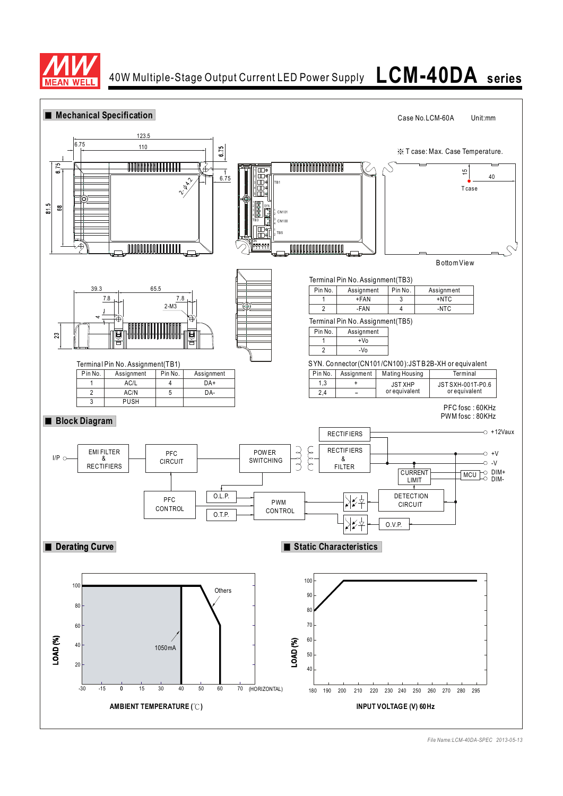

## 40W Multiple-Stage Output Current LED Power Supply **LCM-40DA series**



*File Name:LCM-40DA-SPEC 2013-05-13*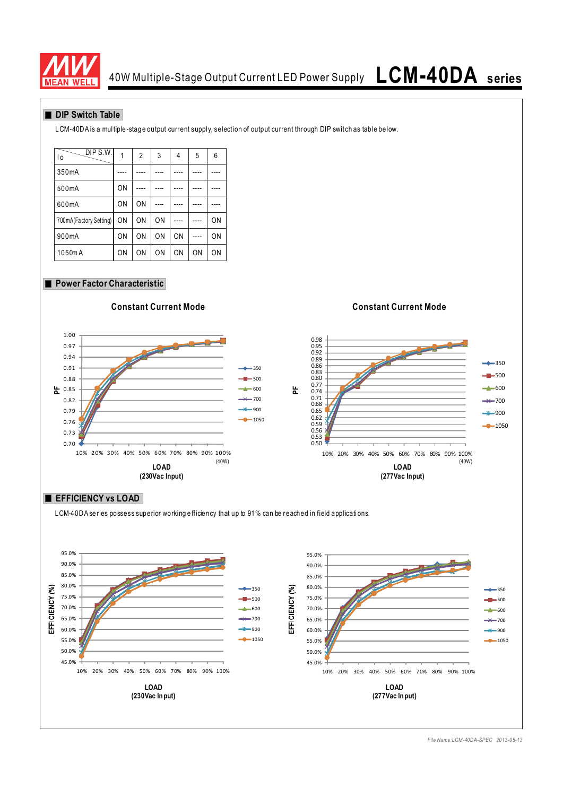

# 40W Multiple-Stage Output Current LED Power Supply **LCM-40DA series**

### **DIP Switch Table**

LCM-40DA is a mul tiple-stage output current supply, selection of output current thr ough DIP switch as table below.

| DIP S.W.<br>١o         | 1              | $\overline{2}$ | 3  | 4  | 5  | 6  |
|------------------------|----------------|----------------|----|----|----|----|
| 350mA                  |                |                |    |    |    |    |
| 500mA                  | ON             |                |    |    |    |    |
| 600mA                  | 0 <sub>N</sub> | 0 <sub>N</sub> |    |    |    |    |
| 700mA(Factory Setting) | 0 <sub>N</sub> | ON             | ON |    |    | ON |
| 900mA                  | ON             | ON             | ON | ON |    | ON |
| 1050mA                 | 0 <sub>N</sub> | ON             | ON | ΟN | ΟN | ON |

### **Power Factor Characteristic**

0.70 0.73 0.76 0.79 0.82  $E_{0.85}$ 0.88 0.91 0.94 0.97 1.00 10% 20% 30% 40% 50% 60% 70% 80% 90% 100% 350  $-500$  $-600$  $-700$ 900  $-1050$ **LOAD (230Vac Input)**

**Constant Current Mode Constant Current Mode**



### **EFFICIENCY vs LOAD**

LCM-40DA se ries possess superior working efficiency that up to 91% can be reached in field applications.

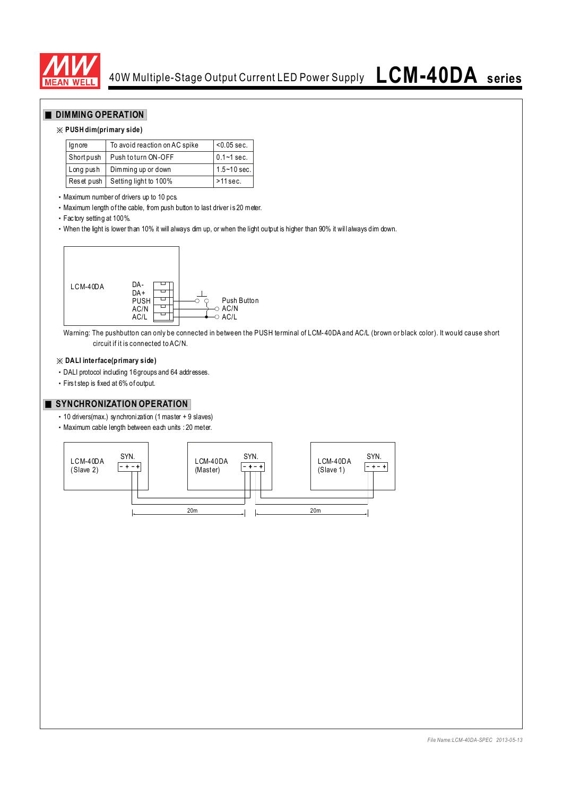

### **DIMMING OPERATION**

### ※ **PUSH dim(primary side)**

| lgnore     | To avoid reaction on AC spike | $< 0.05$ sec.   |
|------------|-------------------------------|-----------------|
| Shortpush  | Push to turn ON-OFF           | $0.1 - 1$ sec.  |
| Long push  | Dimming up or down            | $1.5 - 10$ sec. |
| Reset push | Setting light to 100%         | $>11$ sec.      |

‧Maximum number of drivers up to 10 pcs.

‧Maximum length of the cable, from push button to last driver i s 20 meter.

‧Fac tory setting at 100%.

• When the light is lower than 10% it will always dim up, or when the light output is higher than 90% it will always dim down.



Warning: The pushbutton can only be connected in between the PUSH terminal of LCM-40DA and AC/L (brown or black color). It would cause short circuit if it is connected to AC/N.

### ※ **DALI interface(primary side)**

‧DALI protocol including 16groups and 64 addresses.

‧Firs t step is fixed at 6% of output.

### **SYNCHRONIZATION OPERATION**

• 10 drivers(max.) synchronization (1 master + 9 slaves)

‧Maximum cable length between each units : 20 meter.